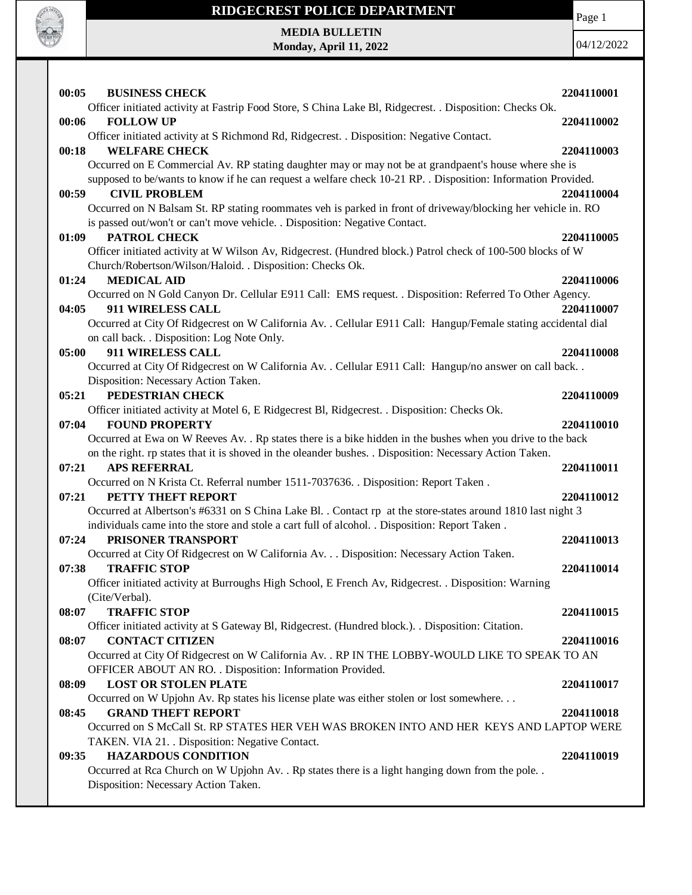

## **RIDGECREST POLICE DEPARTMENT MEDIA BULLETIN**

Page 1

|       | Monday, April 11, 2022                                                                                                                     | 04/12/2022 |
|-------|--------------------------------------------------------------------------------------------------------------------------------------------|------------|
|       |                                                                                                                                            |            |
|       |                                                                                                                                            |            |
| 00:05 | <b>BUSINESS CHECK</b>                                                                                                                      | 2204110001 |
| 00:06 | Officer initiated activity at Fastrip Food Store, S China Lake Bl, Ridgecrest. . Disposition: Checks Ok.<br><b>FOLLOW UP</b>               |            |
|       | Officer initiated activity at S Richmond Rd, Ridgecrest. . Disposition: Negative Contact.                                                  | 2204110002 |
| 00:18 | <b>WELFARE CHECK</b>                                                                                                                       | 2204110003 |
|       | Occurred on E Commercial Av. RP stating daughter may or may not be at grandpaent's house where she is                                      |            |
|       | supposed to be/wants to know if he can request a welfare check 10-21 RP. . Disposition: Information Provided.                              |            |
| 00:59 | <b>CIVIL PROBLEM</b>                                                                                                                       | 2204110004 |
|       | Occurred on N Balsam St. RP stating roommates veh is parked in front of driveway/blocking her vehicle in. RO                               |            |
|       | is passed out/won't or can't move vehicle. . Disposition: Negative Contact.                                                                |            |
| 01:09 | PATROL CHECK                                                                                                                               | 2204110005 |
|       | Officer initiated activity at W Wilson Av, Ridgecrest. (Hundred block.) Patrol check of 100-500 blocks of W                                |            |
| 01:24 | Church/Robertson/Wilson/Haloid. . Disposition: Checks Ok.<br><b>MEDICAL AID</b>                                                            | 2204110006 |
|       | Occurred on N Gold Canyon Dr. Cellular E911 Call: EMS request. . Disposition: Referred To Other Agency.                                    |            |
| 04:05 | 911 WIRELESS CALL                                                                                                                          | 2204110007 |
|       | Occurred at City Of Ridgecrest on W California Av. . Cellular E911 Call: Hangup/Female stating accidental dial                             |            |
|       | on call back. . Disposition: Log Note Only.                                                                                                |            |
| 05:00 | 911 WIRELESS CALL                                                                                                                          | 2204110008 |
|       | Occurred at City Of Ridgecrest on W California Av. . Cellular E911 Call: Hangup/no answer on call back. .                                  |            |
|       | Disposition: Necessary Action Taken.                                                                                                       |            |
| 05:21 | PEDESTRIAN CHECK                                                                                                                           | 2204110009 |
|       | Officer initiated activity at Motel 6, E Ridgecrest Bl, Ridgecrest. . Disposition: Checks Ok.                                              |            |
| 07:04 | <b>FOUND PROPERTY</b><br>Occurred at Ewa on W Reeves Av. . Rp states there is a bike hidden in the bushes when you drive to the back       | 2204110010 |
|       | on the right. rp states that it is shoved in the oleander bushes. . Disposition: Necessary Action Taken.                                   |            |
| 07:21 | <b>APS REFERRAL</b>                                                                                                                        | 2204110011 |
|       | Occurred on N Krista Ct. Referral number 1511-7037636. . Disposition: Report Taken.                                                        |            |
| 07:21 | PETTY THEFT REPORT                                                                                                                         | 2204110012 |
|       | Occurred at Albertson's #6331 on S China Lake Bl. . Contact rp at the store-states around 1810 last night 3                                |            |
|       | individuals came into the store and stole a cart full of alcohol. . Disposition: Report Taken.                                             |            |
| 07:24 | PRISONER TRANSPORT                                                                                                                         | 2204110013 |
|       | Occurred at City Of Ridgecrest on W California Av. Disposition: Necessary Action Taken.                                                    |            |
| 07:38 | <b>TRAFFIC STOP</b><br>Officer initiated activity at Burroughs High School, E French Av, Ridgecrest. . Disposition: Warning                | 2204110014 |
|       | (Cite/Verbal).                                                                                                                             |            |
| 08:07 | <b>TRAFFIC STOP</b>                                                                                                                        | 2204110015 |
|       | Officer initiated activity at S Gateway Bl, Ridgecrest. (Hundred block.). . Disposition: Citation.                                         |            |
| 08:07 | <b>CONTACT CITIZEN</b>                                                                                                                     | 2204110016 |
|       | Occurred at City Of Ridgecrest on W California Av. . RP IN THE LOBBY-WOULD LIKE TO SPEAK TO AN                                             |            |
|       | OFFICER ABOUT AN RO. . Disposition: Information Provided.                                                                                  |            |
| 08:09 | <b>LOST OR STOLEN PLATE</b>                                                                                                                | 2204110017 |
|       | Occurred on W Upjohn Av. Rp states his license plate was either stolen or lost somewhere                                                   |            |
| 08:45 | <b>GRAND THEFT REPORT</b>                                                                                                                  | 2204110018 |
|       | Occurred on S McCall St. RP STATES HER VEH WAS BROKEN INTO AND HER KEYS AND LAPTOP WERE<br>TAKEN. VIA 21. . Disposition: Negative Contact. |            |
| 09:35 | <b>HAZARDOUS CONDITION</b>                                                                                                                 | 2204110019 |
|       | Occurred at Rca Church on W Upjohn Av. . Rp states there is a light hanging down from the pole. .                                          |            |
|       | Disposition: Necessary Action Taken.                                                                                                       |            |
|       |                                                                                                                                            |            |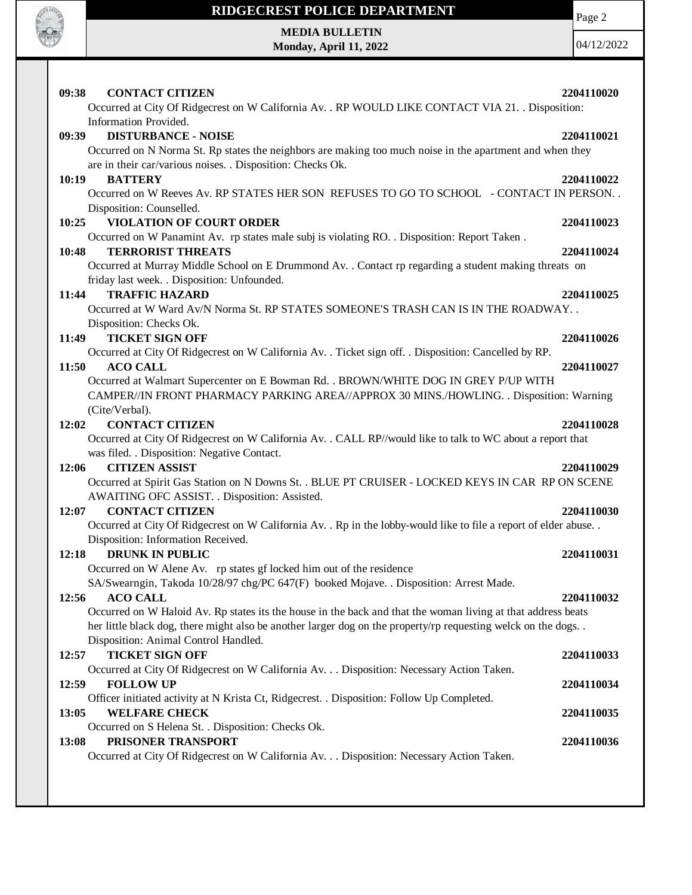

Page 2

**MEDIA BULLETIN Monday, April 11, 2022**

| 09:38<br><b>CONTACT CITIZEN</b><br>Occurred at City Of Ridgecrest on W California Av. . RP WOULD LIKE CONTACT VIA 21. . Disposition:                                                                                                                                                                                                                                                          | 2204110020 |
|-----------------------------------------------------------------------------------------------------------------------------------------------------------------------------------------------------------------------------------------------------------------------------------------------------------------------------------------------------------------------------------------------|------------|
| Information Provided.<br><b>DISTURBANCE - NOISE</b><br>09:39<br>Occurred on N Norma St. Rp states the neighbors are making too much noise in the apartment and when they                                                                                                                                                                                                                      | 2204110021 |
| are in their car/various noises. . Disposition: Checks Ok.<br><b>BATTERY</b><br>10:19<br>Occurred on W Reeves Av. RP STATES HER SON REFUSES TO GO TO SCHOOL - CONTACT IN PERSON. .<br>Disposition: Counselled.                                                                                                                                                                                | 2204110022 |
| 10:25<br><b>VIOLATION OF COURT ORDER</b><br>Occurred on W Panamint Av. rp states male subj is violating RO. . Disposition: Report Taken.                                                                                                                                                                                                                                                      | 2204110023 |
| <b>TERRORIST THREATS</b><br>10:48<br>Occurred at Murray Middle School on E Drummond Av. . Contact rp regarding a student making threats on                                                                                                                                                                                                                                                    | 2204110024 |
| friday last week. . Disposition: Unfounded.<br>11:44<br><b>TRAFFIC HAZARD</b><br>Occurred at W Ward Av/N Norma St. RP STATES SOMEONE'S TRASH CAN IS IN THE ROADWAY. .                                                                                                                                                                                                                         | 2204110025 |
| Disposition: Checks Ok.<br><b>TICKET SIGN OFF</b><br>11:49<br>Occurred at City Of Ridgecrest on W California Av. . Ticket sign off. . Disposition: Cancelled by RP.                                                                                                                                                                                                                           | 2204110026 |
| 11:50<br><b>ACO CALL</b><br>Occurred at Walmart Supercenter on E Bowman Rd. . BROWN/WHITE DOG IN GREY P/UP WITH                                                                                                                                                                                                                                                                               | 2204110027 |
| CAMPER//IN FRONT PHARMACY PARKING AREA//APPROX 30 MINS./HOWLING. . Disposition: Warning<br>(Cite/Verbal).<br><b>CONTACT CITIZEN</b><br>12:02                                                                                                                                                                                                                                                  | 2204110028 |
| Occurred at City Of Ridgecrest on W California Av. . CALL RP//would like to talk to WC about a report that<br>was filed. . Disposition: Negative Contact.                                                                                                                                                                                                                                     |            |
| <b>CITIZEN ASSIST</b><br>12:06<br>Occurred at Spirit Gas Station on N Downs St. . BLUE PT CRUISER - LOCKED KEYS IN CAR RP ON SCENE<br>AWAITING OFC ASSIST. . Disposition: Assisted.                                                                                                                                                                                                           | 2204110029 |
| <b>CONTACT CITIZEN</b><br>12:07<br>Occurred at City Of Ridgecrest on W California Av. . Rp in the lobby-would like to file a report of elder abuse. .                                                                                                                                                                                                                                         | 2204110030 |
| Disposition: Information Received.<br>12:18<br><b>DRUNK IN PUBLIC</b><br>Occurred on W Alene Av. rp states gf locked him out of the residence                                                                                                                                                                                                                                                 | 2204110031 |
| SA/Swearngin, Takoda 10/28/97 chg/PC 647(F) booked Mojave. . Disposition: Arrest Made.<br>12:56<br><b>ACO CALL</b><br>Occurred on W Haloid Av. Rp states its the house in the back and that the woman living at that address beats<br>her little black dog, there might also be another larger dog on the property/rp requesting welck on the dogs. .<br>Disposition: Animal Control Handled. | 2204110032 |
| <b>TICKET SIGN OFF</b><br>12:57<br>Occurred at City Of Ridgecrest on W California Av. Disposition: Necessary Action Taken.                                                                                                                                                                                                                                                                    | 2204110033 |
| <b>FOLLOW UP</b><br>12:59<br>Officer initiated activity at N Krista Ct, Ridgecrest. . Disposition: Follow Up Completed.                                                                                                                                                                                                                                                                       | 2204110034 |
| <b>WELFARE CHECK</b><br>13:05<br>Occurred on S Helena St. . Disposition: Checks Ok.                                                                                                                                                                                                                                                                                                           | 2204110035 |
| PRISONER TRANSPORT<br>13:08<br>Occurred at City Of Ridgecrest on W California Av. Disposition: Necessary Action Taken.                                                                                                                                                                                                                                                                        | 2204110036 |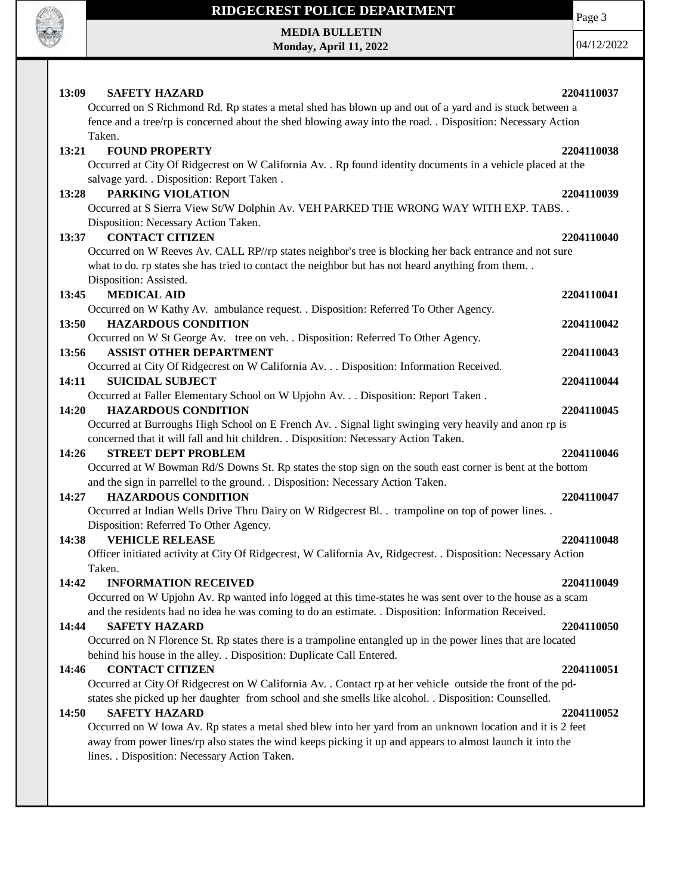

Page 3

**MEDIA BULLETIN Monday, April 11, 2022**

| 13:09<br><b>SAFETY HAZARD</b>                                                                                            | 2204110037 |
|--------------------------------------------------------------------------------------------------------------------------|------------|
| Occurred on S Richmond Rd. Rp states a metal shed has blown up and out of a yard and is stuck between a                  |            |
| fence and a tree/rp is concerned about the shed blowing away into the road. . Disposition: Necessary Action              |            |
| Taken.                                                                                                                   |            |
| <b>FOUND PROPERTY</b><br>13:21                                                                                           | 2204110038 |
| Occurred at City Of Ridgecrest on W California Av. . Rp found identity documents in a vehicle placed at the              |            |
| salvage yard. . Disposition: Report Taken.                                                                               |            |
| PARKING VIOLATION<br>13:28                                                                                               | 2204110039 |
| Occurred at S Sierra View St/W Dolphin Av. VEH PARKED THE WRONG WAY WITH EXP. TABS. .                                    |            |
| Disposition: Necessary Action Taken.                                                                                     |            |
| <b>CONTACT CITIZEN</b><br>13:37                                                                                          | 2204110040 |
| Occurred on W Reeves Av. CALL RP//rp states neighbor's tree is blocking her back entrance and not sure                   |            |
| what to do. rp states she has tried to contact the neighbor but has not heard anything from them                         |            |
| Disposition: Assisted.                                                                                                   |            |
| <b>MEDICAL AID</b><br>13:45                                                                                              | 2204110041 |
| Occurred on W Kathy Av. ambulance request. . Disposition: Referred To Other Agency.                                      |            |
| <b>HAZARDOUS CONDITION</b><br>13:50                                                                                      | 2204110042 |
| Occurred on W St George Av. tree on veh. . Disposition: Referred To Other Agency.                                        |            |
| 13:56<br><b>ASSIST OTHER DEPARTMENT</b>                                                                                  | 2204110043 |
| Occurred at City Of Ridgecrest on W California Av. Disposition: Information Received.                                    |            |
| 14:11<br><b>SUICIDAL SUBJECT</b>                                                                                         | 2204110044 |
| Occurred at Faller Elementary School on W Upjohn Av. Disposition: Report Taken .                                         |            |
| 14:20<br><b>HAZARDOUS CONDITION</b>                                                                                      | 2204110045 |
| Occurred at Burroughs High School on E French Av. . Signal light swinging very heavily and anon rp is                    |            |
| concerned that it will fall and hit children. . Disposition: Necessary Action Taken.                                     |            |
| <b>STREET DEPT PROBLEM</b><br>14:26                                                                                      | 2204110046 |
| Occurred at W Bowman Rd/S Downs St. Rp states the stop sign on the south east corner is bent at the bottom               |            |
| and the sign in parrellel to the ground. . Disposition: Necessary Action Taken.                                          |            |
| <b>HAZARDOUS CONDITION</b><br>14:27                                                                                      | 2204110047 |
| Occurred at Indian Wells Drive Thru Dairy on W Ridgecrest Bl. . trampoline on top of power lines. .                      |            |
| Disposition: Referred To Other Agency.                                                                                   |            |
| 14:38<br><b>VEHICLE RELEASE</b>                                                                                          | 2204110048 |
| Officer initiated activity at City Of Ridgecrest, W California Av, Ridgecrest. . Disposition: Necessary Action<br>Taken. |            |
| 14:42<br><b>INFORMATION RECEIVED</b>                                                                                     | 2204110049 |
| Occurred on W Upjohn Av. Rp wanted info logged at this time-states he was sent over to the house as a scam               |            |
| and the residents had no idea he was coming to do an estimate. . Disposition: Information Received.                      |            |
| <b>SAFETY HAZARD</b><br>14:44                                                                                            | 2204110050 |
| Occurred on N Florence St. Rp states there is a trampoline entangled up in the power lines that are located              |            |
| behind his house in the alley. . Disposition: Duplicate Call Entered.                                                    |            |
| 14:46<br><b>CONTACT CITIZEN</b>                                                                                          | 2204110051 |
| Occurred at City Of Ridgecrest on W California Av. . Contact rp at her vehicle outside the front of the pd-              |            |
| states she picked up her daughter from school and she smells like alcohol. . Disposition: Counselled.                    |            |
| <b>SAFETY HAZARD</b><br>14:50                                                                                            | 2204110052 |
| Occurred on W Iowa Av. Rp states a metal shed blew into her yard from an unknown location and it is 2 feet               |            |
| away from power lines/rp also states the wind keeps picking it up and appears to almost launch it into the               |            |
| lines. . Disposition: Necessary Action Taken.                                                                            |            |
|                                                                                                                          |            |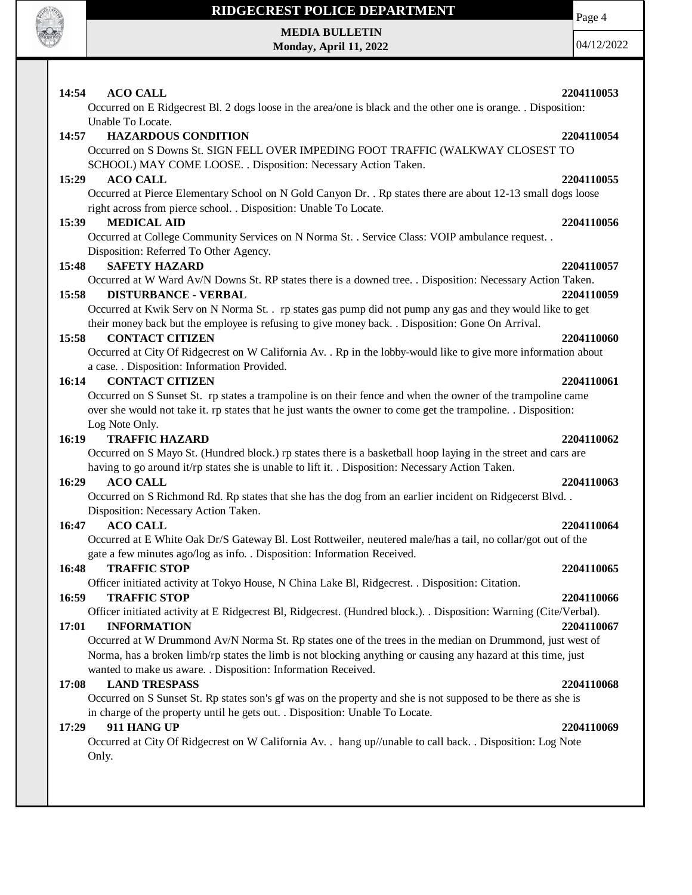

# **MEDIA BULLETIN**

**Monday, April 11, 2022**

Page 4

04/12/2022

| <b>ACO CALL</b><br>14:54                                                                                           | 2204110053 |
|--------------------------------------------------------------------------------------------------------------------|------------|
| Occurred on E Ridgecrest Bl. 2 dogs loose in the area/one is black and the other one is orange. . Disposition:     |            |
| Unable To Locate.                                                                                                  |            |
| 14:57<br><b>HAZARDOUS CONDITION</b>                                                                                | 2204110054 |
| Occurred on S Downs St. SIGN FELL OVER IMPEDING FOOT TRAFFIC (WALKWAY CLOSEST TO                                   |            |
| SCHOOL) MAY COME LOOSE. . Disposition: Necessary Action Taken.                                                     |            |
| 15:29<br><b>ACO CALL</b>                                                                                           | 2204110055 |
| Occurred at Pierce Elementary School on N Gold Canyon Dr. . Rp states there are about 12-13 small dogs loose       |            |
| right across from pierce school. . Disposition: Unable To Locate.                                                  |            |
| <b>MEDICAL AID</b><br>15:39                                                                                        | 2204110056 |
| Occurred at College Community Services on N Norma St. . Service Class: VOIP ambulance request. .                   |            |
| Disposition: Referred To Other Agency.                                                                             |            |
| <b>SAFETY HAZARD</b><br>15:48                                                                                      | 2204110057 |
| Occurred at W Ward Av/N Downs St. RP states there is a downed tree. . Disposition: Necessary Action Taken.         |            |
| 15:58<br><b>DISTURBANCE - VERBAL</b>                                                                               | 2204110059 |
| Occurred at Kwik Serv on N Norma St. . rp states gas pump did not pump any gas and they would like to get          |            |
| their money back but the employee is refusing to give money back. . Disposition: Gone On Arrival.                  |            |
| <b>CONTACT CITIZEN</b><br>15:58                                                                                    | 2204110060 |
| Occurred at City Of Ridgecrest on W California Av. . Rp in the lobby-would like to give more information about     |            |
| a case. . Disposition: Information Provided.                                                                       |            |
| <b>CONTACT CITIZEN</b><br>16:14                                                                                    | 2204110061 |
| Occurred on S Sunset St. rp states a trampoline is on their fence and when the owner of the trampoline came        |            |
| over she would not take it. rp states that he just wants the owner to come get the trampoline. . Disposition:      |            |
| Log Note Only.                                                                                                     |            |
| <b>TRAFFIC HAZARD</b><br>16:19                                                                                     | 2204110062 |
| Occurred on S Mayo St. (Hundred block.) rp states there is a basketball hoop laying in the street and cars are     |            |
| having to go around it/rp states she is unable to lift it. . Disposition: Necessary Action Taken.                  |            |
| <b>ACO CALL</b><br>16:29                                                                                           | 2204110063 |
| Occurred on S Richmond Rd. Rp states that she has the dog from an earlier incident on Ridgecerst Blvd. .           |            |
| Disposition: Necessary Action Taken.<br><b>ACO CALL</b><br>16:47                                                   | 2204110064 |
| Occurred at E White Oak Dr/S Gateway Bl. Lost Rottweiler, neutered male/has a tail, no collar/got out of the       |            |
| gate a few minutes ago/log as info. . Disposition: Information Received.                                           |            |
| 16:48<br><b>TRAFFIC STOP</b>                                                                                       | 2204110065 |
| Officer initiated activity at Tokyo House, N China Lake Bl, Ridgecrest. . Disposition: Citation.                   |            |
| <b>TRAFFIC STOP</b><br>16:59                                                                                       | 2204110066 |
| Officer initiated activity at E Ridgecrest Bl, Ridgecrest. (Hundred block.). . Disposition: Warning (Cite/Verbal). |            |
| 17:01<br><b>INFORMATION</b>                                                                                        | 2204110067 |
| Occurred at W Drummond Av/N Norma St. Rp states one of the trees in the median on Drummond, just west of           |            |
| Norma, has a broken limb/rp states the limb is not blocking anything or causing any hazard at this time, just      |            |
| wanted to make us aware. . Disposition: Information Received.                                                      |            |
| <b>LAND TRESPASS</b><br>17:08                                                                                      | 2204110068 |
| Occurred on S Sunset St. Rp states son's gf was on the property and she is not supposed to be there as she is      |            |
| in charge of the property until he gets out. . Disposition: Unable To Locate.                                      |            |
| 17:29<br>911 HANG UP                                                                                               | 2204110069 |

Occurred at City Of Ridgecrest on W California Av. . hang up//unable to call back. . Disposition: Log Note Only.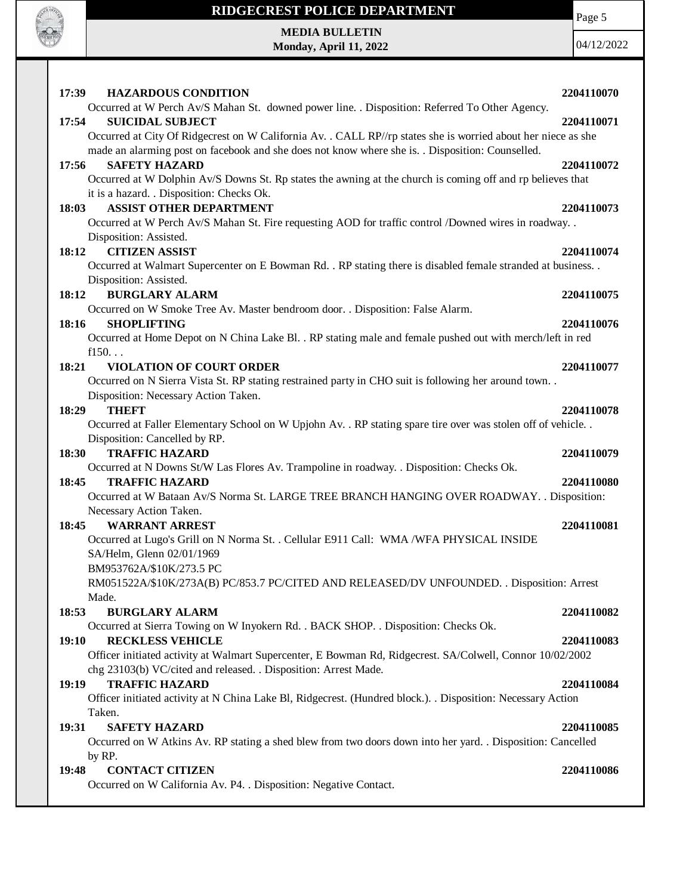

## **RIDGECREST POLICE DEPARTMENT MEDIA BULLETIN**

**Monday, April 11, 2022**

Page 5

| 17:39<br><b>HAZARDOUS CONDITION</b>                                                                                                             | 2204110070 |
|-------------------------------------------------------------------------------------------------------------------------------------------------|------------|
| Occurred at W Perch Av/S Mahan St. downed power line. . Disposition: Referred To Other Agency.                                                  |            |
| 17:54<br><b>SUICIDAL SUBJECT</b>                                                                                                                | 2204110071 |
| Occurred at City Of Ridgecrest on W California Av. . CALL RP//rp states she is worried about her niece as she                                   |            |
| made an alarming post on facebook and she does not know where she is. . Disposition: Counselled.                                                |            |
| <b>SAFETY HAZARD</b><br>17:56                                                                                                                   | 2204110072 |
| Occurred at W Dolphin Av/S Downs St. Rp states the awning at the church is coming off and rp believes that                                      |            |
| it is a hazard. . Disposition: Checks Ok.                                                                                                       |            |
| <b>ASSIST OTHER DEPARTMENT</b><br>18:03                                                                                                         | 2204110073 |
| Occurred at W Perch Av/S Mahan St. Fire requesting AOD for traffic control /Downed wires in roadway                                             |            |
| Disposition: Assisted.                                                                                                                          |            |
| <b>CITIZEN ASSIST</b><br>18:12                                                                                                                  | 2204110074 |
| Occurred at Walmart Supercenter on E Bowman Rd. . RP stating there is disabled female stranded at business. .                                   |            |
| Disposition: Assisted.                                                                                                                          |            |
| <b>BURGLARY ALARM</b><br>18:12                                                                                                                  | 2204110075 |
| Occurred on W Smoke Tree Av. Master bendroom door. . Disposition: False Alarm.                                                                  |            |
| 18:16<br><b>SHOPLIFTING</b>                                                                                                                     | 2204110076 |
| Occurred at Home Depot on N China Lake Bl. . RP stating male and female pushed out with merch/left in red                                       |            |
| f150                                                                                                                                            |            |
| 18:21<br><b>VIOLATION OF COURT ORDER</b>                                                                                                        | 2204110077 |
| Occurred on N Sierra Vista St. RP stating restrained party in CHO suit is following her around town                                             |            |
| Disposition: Necessary Action Taken.                                                                                                            |            |
| <b>THEFT</b><br>18:29                                                                                                                           | 2204110078 |
| Occurred at Faller Elementary School on W Upjohn Av. . RP stating spare tire over was stolen off of vehicle. .<br>Disposition: Cancelled by RP. |            |
| 18:30<br><b>TRAFFIC HAZARD</b>                                                                                                                  | 2204110079 |
| Occurred at N Downs St/W Las Flores Av. Trampoline in roadway. . Disposition: Checks Ok.                                                        |            |
| 18:45<br><b>TRAFFIC HAZARD</b>                                                                                                                  | 2204110080 |
| Occurred at W Bataan Av/S Norma St. LARGE TREE BRANCH HANGING OVER ROADWAY. . Disposition:                                                      |            |
| Necessary Action Taken.                                                                                                                         |            |
| 18:45<br><b>WARRANT ARREST</b>                                                                                                                  | 2204110081 |
| Occurred at Lugo's Grill on N Norma St. . Cellular E911 Call: WMA /WFA PHYSICAL INSIDE                                                          |            |
| SA/Helm, Glenn 02/01/1969                                                                                                                       |            |
| BM953762A/\$10K/273.5 PC                                                                                                                        |            |
| RM051522A/\$10K/273A(B) PC/853.7 PC/CITED AND RELEASED/DV UNFOUNDED. . Disposition: Arrest                                                      |            |
| Made.                                                                                                                                           |            |
| 18:53<br><b>BURGLARY ALARM</b>                                                                                                                  | 2204110082 |
| Occurred at Sierra Towing on W Inyokern Rd. . BACK SHOP. . Disposition: Checks Ok.                                                              |            |
| <b>RECKLESS VEHICLE</b><br>19:10                                                                                                                | 2204110083 |
| Officer initiated activity at Walmart Supercenter, E Bowman Rd, Ridgecrest. SA/Colwell, Connor 10/02/2002                                       |            |
| chg 23103(b) VC/cited and released. . Disposition: Arrest Made.                                                                                 |            |
| <b>TRAFFIC HAZARD</b><br>19:19                                                                                                                  | 2204110084 |
| Officer initiated activity at N China Lake Bl, Ridgecrest. (Hundred block.). . Disposition: Necessary Action                                    |            |
| Taken.                                                                                                                                          |            |
| <b>SAFETY HAZARD</b><br>19:31                                                                                                                   | 2204110085 |
| Occurred on W Atkins Av. RP stating a shed blew from two doors down into her yard. . Disposition: Cancelled                                     |            |
| by RP.                                                                                                                                          |            |
| 19:48<br><b>CONTACT CITIZEN</b>                                                                                                                 | 2204110086 |
| Occurred on W California Av. P4. . Disposition: Negative Contact.                                                                               |            |